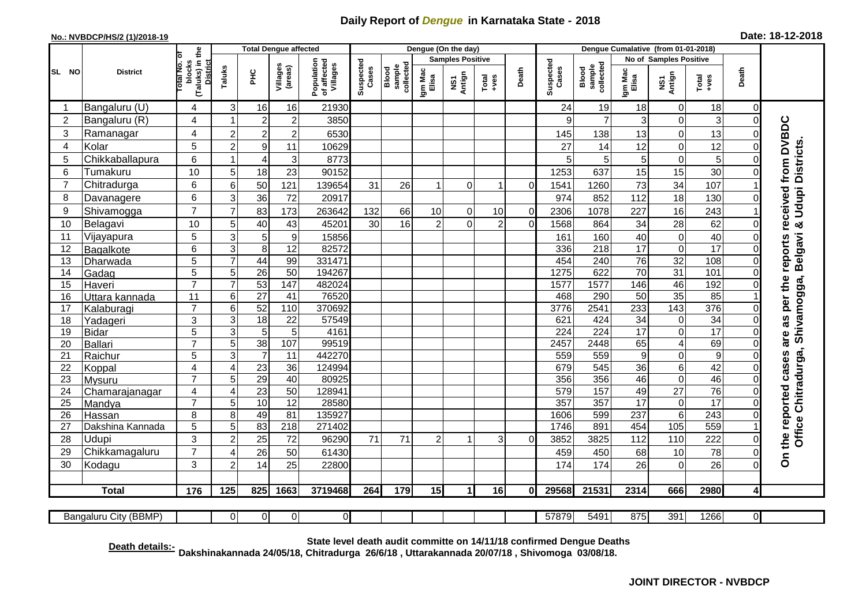## **Daily Report of** *Dengue* **in Karnataka State - 2018**

## **No.: NVBDCP/HS/2 (1)/2018-19 Date: 18-12-2018**

|                                                                                                                                              | <b>District</b>   |                                                             | <b>Total Dengue affected</b> |                                   |                        |                                       |                    |                              | Dengue (On the day)     |               |                |          |                    |                              |                        |                                  |                           |                            |                                                                                                     |
|----------------------------------------------------------------------------------------------------------------------------------------------|-------------------|-------------------------------------------------------------|------------------------------|-----------------------------------|------------------------|---------------------------------------|--------------------|------------------------------|-------------------------|---------------|----------------|----------|--------------------|------------------------------|------------------------|----------------------------------|---------------------------|----------------------------|-----------------------------------------------------------------------------------------------------|
|                                                                                                                                              |                   |                                                             |                              |                                   |                        |                                       | Suspected<br>Cases |                              | <b>Samples Positive</b> |               |                |          |                    |                              | No of Samples Positive |                                  |                           |                            |                                                                                                     |
| SL NO                                                                                                                                        |                   | (Taluks) in the<br>otal No. of<br>blocks<br><b>District</b> | Taluks                       | PНC                               | Villages<br>(areas)    | Population<br>of affected<br>Villages |                    | sample<br>collected<br>Blood | Igm Mac<br>Elisa        | NS1<br>Antign | $Total$        | Death    | Suspected<br>Cases | collected<br>sample<br>Blood | Igm Mac<br>Elisa       | NS1<br>Antign                    | Death<br>$Tota$<br>$+ves$ |                            |                                                                                                     |
| -1                                                                                                                                           | Bangaluru (U)     | 4                                                           | 3                            | 16                                | 16                     | 21930                                 |                    |                              |                         |               |                |          | 24                 | 19                           | 18                     | 0                                | 18                        | $\mathbf 0$                |                                                                                                     |
| $\overline{2}$                                                                                                                               | Bangaluru (R)     | 4                                                           | -1                           | $\overline{c}$                    | $\overline{c}$         | 3850                                  |                    |                              |                         |               |                |          | 9                  | $\overline{7}$               | 3                      | $\mathbf 0$                      | 3                         | $\mathbf 0$                |                                                                                                     |
| 3                                                                                                                                            | Ramanagar         | 4                                                           | $\overline{c}$               | $\mathbf{2}^{\prime}$             | $\overline{2}$         | 6530                                  |                    |                              |                         |               |                |          | 145                | 138                          | 13                     | $\mathbf 0$                      | 13                        | $\Omega$                   |                                                                                                     |
| 4                                                                                                                                            | Kolar             | $\overline{5}$                                              | $\overline{2}$               | 9                                 | 11                     | 10629                                 |                    |                              |                         |               |                |          | 27                 | 14                           | 12                     | $\overline{0}$                   | 12                        | $\Omega$                   |                                                                                                     |
| 5                                                                                                                                            | Chikkaballapura   | 6                                                           | -1                           | 4                                 | 3                      | 8773                                  |                    |                              |                         |               |                |          | 5                  | 5 <sup>1</sup>               | 5                      | $\mathbf 0$                      | 5                         | $\Omega$                   |                                                                                                     |
| 6                                                                                                                                            | Tumakuru          | 10                                                          | 5                            | 18                                | 23                     | 90152                                 |                    |                              |                         |               |                |          | 1253               | 637                          | 15                     | 15                               | 30                        | $\Omega$                   | Udupi Districts.                                                                                    |
| $\overline{7}$                                                                                                                               | Chitradurga       | 6                                                           | 6                            | 50                                | 121                    | 139654                                | 31                 | 26                           | $\mathbf 1$             | $\Omega$      | 1              | $\Omega$ | 1541               | 1260                         | 73                     | 34                               | 107                       |                            |                                                                                                     |
| 8                                                                                                                                            | Davanagere        | 6                                                           | 3                            | 36                                | 72                     | 20917                                 |                    |                              |                         |               |                |          | 974                | 852                          | 112                    | 18                               | 130                       | $\Omega$                   |                                                                                                     |
| 9                                                                                                                                            | Shivamogga        | $\overline{7}$                                              | 7                            | 83                                | 173                    | 263642                                | 132                | 66                           | 10                      | $\Omega$      | 10             | $\Omega$ | 2306               | 1078                         | 227                    | 16                               | 243                       |                            |                                                                                                     |
| 10                                                                                                                                           | Belagavi          | 10                                                          | 5                            | 40                                | 43                     | 45201                                 | 30                 | 16                           | $\overline{2}$          | $\Omega$      | $\overline{2}$ | $\Omega$ | 1568               | 864                          | 34                     | 28                               | 62                        | $\Omega$                   |                                                                                                     |
| 11                                                                                                                                           | Vijayapura        | 5                                                           | 3                            | 5                                 | 9                      | 15856                                 |                    |                              |                         |               |                |          | 161                | 160                          | 40                     | $\mathbf 0$                      | 40                        | $\Omega$                   | Belgavi &                                                                                           |
| 12                                                                                                                                           | Bagalkote         | 6                                                           | 3                            | 8                                 | $\overline{12}$        | 82572                                 |                    |                              |                         |               |                |          | 336                | 218                          | $\overline{17}$        | $\mathbf 0$                      | $\overline{17}$           | $\Omega$                   |                                                                                                     |
| 13                                                                                                                                           | Dharwada          | 5                                                           |                              | 44                                | 99                     | 331471                                |                    |                              |                         |               |                |          | 454                | 240                          | $\overline{76}$        | $\overline{32}$                  | 108                       | $\Omega$                   |                                                                                                     |
| 14                                                                                                                                           | Gadag             | $\overline{5}$                                              | 5                            | 26                                | 50                     | 194267                                |                    |                              |                         |               |                |          | 1275               | 622                          | 70                     | 31                               | 101                       | $\overline{0}$             |                                                                                                     |
| 15                                                                                                                                           | Haveri            | $\overline{7}$                                              | $\overline{7}$               | 53                                | 147                    | 482024                                |                    |                              |                         |               |                |          | 1577               | 1577                         | 146                    | 46                               | 192                       | $\mathbf 0$                |                                                                                                     |
| 16                                                                                                                                           | Uttara kannada    | 11                                                          | 6                            | $\overline{27}$                   | 41                     | 76520                                 |                    |                              |                         |               |                |          | 468                | 290                          | $\overline{50}$        | 35                               | 85                        |                            |                                                                                                     |
| 17                                                                                                                                           | Kalaburagi        | $\overline{7}$                                              | 6                            | 52                                | 110                    | 370692                                |                    |                              |                         |               |                |          | 3776               | 2541                         | 233                    | 143                              | 376                       | $\mathbf 0$                |                                                                                                     |
| 18                                                                                                                                           | Yadageri          | 3                                                           | 3                            | 18                                | 22                     | 57549                                 |                    |                              |                         |               |                |          | 621                | 424                          | 34                     | $\mathbf 0$                      | $\overline{34}$           | $\Omega$                   |                                                                                                     |
| 19                                                                                                                                           | <b>Bidar</b>      | $\overline{5}$                                              | 3                            | $5\phantom{.0}$                   | $\overline{5}$         | 4161                                  |                    |                              |                         |               |                |          | $\overline{224}$   | $\overline{224}$             | $\overline{17}$        | $\overline{0}$                   | 17                        | $\Omega$                   |                                                                                                     |
| 20                                                                                                                                           | <b>Ballari</b>    | $\overline{7}$<br>$\overline{5}$                            | 5<br>3                       | $\overline{38}$<br>$\overline{7}$ | 107<br>$\overline{11}$ | 99519<br>442270                       |                    |                              |                         |               |                |          | 2457<br>559        | 2448<br>559                  | 65<br>$\boldsymbol{9}$ | $\overline{4}$<br>$\overline{0}$ | 69<br>$\overline{9}$      | $\Omega$                   |                                                                                                     |
| 21<br>22                                                                                                                                     | Raichur<br>Koppal | 4                                                           | 4                            | 23                                | 36                     | 124994                                |                    |                              |                         |               |                |          | 679                | 545                          | 36                     | 6                                | 42                        | $\mathbf 0$<br>$\mathbf 0$ |                                                                                                     |
| 23                                                                                                                                           | Mysuru            | $\overline{7}$                                              | 5                            | 29                                | 40                     | 80925                                 |                    |                              |                         |               |                |          | 356                | 356                          | 46                     | $\overline{0}$                   | 46                        | $\Omega$                   |                                                                                                     |
| 24                                                                                                                                           | Chamarajanagar    | 4                                                           | $\overline{A}$               | $\overline{23}$                   | $\overline{50}$        | 128941                                |                    |                              |                         |               |                |          | 579                | 157                          | 49                     | $\overline{27}$                  | 76                        | $\Omega$                   |                                                                                                     |
| $\overline{25}$                                                                                                                              | Mandya            | $\overline{7}$                                              | 5                            | 10                                | 12                     | 28580                                 |                    |                              |                         |               |                |          | 357                | 357                          | 17                     | $\overline{0}$                   | 17                        | $\Omega$                   |                                                                                                     |
| 26                                                                                                                                           | Hassan            | 8                                                           | 8                            | 49                                | 81                     | 135927                                |                    |                              |                         |               |                |          | 1606               | 599                          | 237                    | $\overline{6}$                   | 243                       | $\Omega$                   |                                                                                                     |
| 27                                                                                                                                           | Dakshina Kannada  | 5                                                           | 5                            | 83                                | $\overline{218}$       | 271402                                |                    |                              |                         |               |                |          | 1746               | 891                          | 454                    | 105                              | 559                       |                            |                                                                                                     |
| 28                                                                                                                                           | Udupi             | 3                                                           | $\overline{2}$               | 25                                | 72                     | 96290                                 | 71                 | 71                           | $\overline{2}$          |               | 3              | $\Omega$ | 3852               | 3825                         | 112                    | 110                              | 222                       | $\Omega$                   | On the reported cases are as per the reports received from DVBDC<br>Office Chitradurga, Shivamogga, |
| 29                                                                                                                                           | Chikkamagaluru    | $\overline{7}$                                              | Δ                            | 26                                | 50                     | 61430                                 |                    |                              |                         |               |                |          | 459                | 450                          | 68                     | 10                               | $\overline{78}$           | $\Omega$                   |                                                                                                     |
| 30                                                                                                                                           | Kodagu            | 3                                                           | $\overline{2}$               | 14                                | 25                     | 22800                                 |                    |                              |                         |               |                |          | 174                | 174                          | 26                     | $\mathbf 0$                      | 26                        | $\Omega$                   |                                                                                                     |
|                                                                                                                                              | <b>Total</b>      | 176                                                         | 125                          | 825                               | 1663                   | 3719468                               | 264                | 179                          | 15                      | 1             | 16             | 0I       | 29568              | 21531                        | 2314                   | 666                              | 2980                      | 4                          |                                                                                                     |
|                                                                                                                                              |                   |                                                             |                              |                                   |                        |                                       |                    |                              |                         |               |                |          |                    |                              |                        |                                  |                           |                            |                                                                                                     |
| $\overline{0}$<br>$\overline{0}$<br> 0 <br>57879<br>5491<br>875<br>391<br>1266<br>$\overline{0}$<br><b>Bangaluru City (BBMP)</b><br>$\Omega$ |                   |                                                             |                              |                                   |                        |                                       |                    |                              |                         |               |                |          |                    |                              |                        |                                  |                           |                            |                                                                                                     |

**Death details:- State level death audit committe on 14/11/18 confirmed Dengue Deaths Dakshinakannada 24/05/18, Chitradurga 26/6/18 , Uttarakannada 20/07/18 , Shivomoga 03/08/18.**